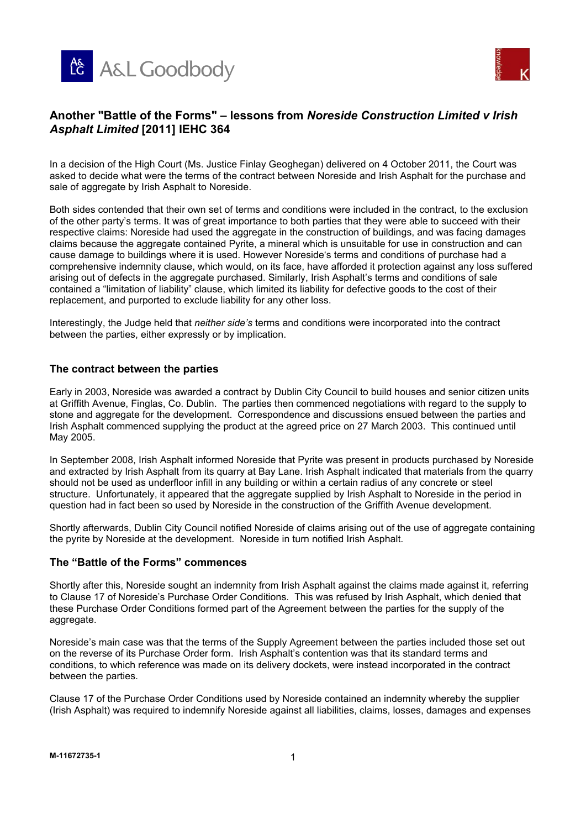



## **An Battle of the Forms" – lessons from** *Noreside Construction Limited v Irish Asphalt Limited* **[2011] IEHC 364**

In a decision of the High Court (Ms. Justice Finlay Geoghegan) delivered on 4 October 2011, the Court was asked to decide what were the terms of the contract between Noreside and Irish Asphalt for the purchase and sale of aggregate by Irish Asphalt to Noreside.

Both sides contended that their own set of terms and conditions were included in the contract, to the exclusion of the other party's terms. It was of great importance to both parties that they were able to succeed with their respective claims: Noreside had used the aggregate in the construction of buildings, and was facing damages claims because the aggregate contained Pyrite, a mineral which is unsuitable for use in construction and can cause damage to buildings where it is used. However Noreside's terms and conditions of purchase had a comprehensive indemnity clause, which would, on its face, have afforded it protection against any loss suffered arising out of defects in the aggregate purchased. Similarly, Irish Asphalt's terms and conditions of sale contained a "limitation of liability" clause, which limited its liability for defective goods to the cost of their replacement, and purported to exclude liability for any other loss.

Interestingly, the Judge held that *neither side's* terms and conditions were incorporated into the contract between the parties, either expressly or by implication.

#### **The contract between the parties**

Early in 2003, Noreside was awarded a contract by Dublin City Council to build houses and senior citizen units at Griffith Avenue, Finglas, Co. Dublin. The parties then commenced negotiations with regard to the supply to stone and aggregate for the development. Correspondence and discussions ensued between the parties and Irish Asphalt commenced supplying the product at the agreed price on 27 March 2003. This continued until May 2005.

In September 2008, Irish Asphalt informed Noreside that Pyrite was present in products purchased by Noreside and extracted by Irish Asphalt from its quarry at Bay Lane. Irish Asphalt indicated that materials from the quarry should not be used as underfloor infill in any building or within a certain radius of any concrete or steel structure. Unfortunately, it appeared that the aggregate supplied by Irish Asphalt to Noreside in the period in question had in fact been so used by Noreside in the construction of the Griffith Avenue development.

Shortly afterwards, Dublin City Council notified Noreside of claims arising out of the use of aggregate containing the pyrite by Noreside at the development. Noreside in turn notified Irish Asphalt.

#### **The "Battle of the Forms" commences**

Shortly after this, Noreside sought an indemnity from Irish Asphalt against the claims made against it, referring to Clause 17 of Noreside's Purchase Order Conditions. This was refused by Irish Asphalt, which denied that these Purchase Order Conditions formed part of the Agreement between the parties for the supply of the aggregate.

Noreside's main case was that the terms of the Supply Agreement between the parties included those set out on the reverse of its Purchase Order form. Irish Asphalt's contention was that its standard terms and conditions, to which reference was made on its delivery dockets, were instead incorporated in the contract between the parties.

Clause 17 of the Purchase Order Conditions used by Noreside contained an indemnity whereby the supplier (Irish Asphalt) was required to indemnify Noreside against all liabilities, claims, losses, damages and expenses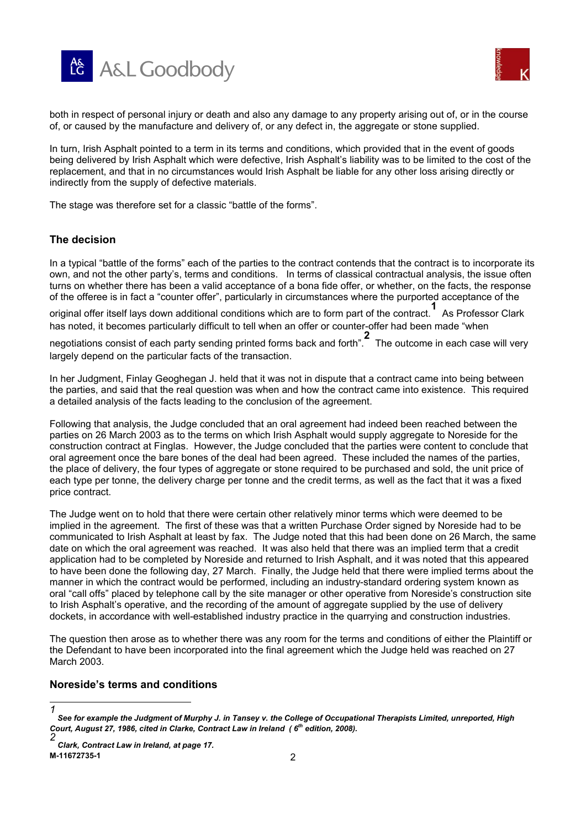



both in respect of personal injury or death and also any damage to any property arising out of, or in the course of, or caused by the manufacture and delivery of, or any de fect in, the aggregate or stone supplied.

In turn, Irish Asphalt pointed to a term in its terms and conditions, which provided that in the event of goods being delivered by Irish Asphalt which were defective, Irish Asphalt's liability was to be limited to the cost of the replacement, and that in no circumstances would Irish Asphalt be liable for any other loss arising directly or indirectly from the supply of defective materials.

The stage was therefore set for a classic "battle of the forms".

## **The decision**

In a typical "battle of the forms" each of the parties to the contract contends that the contract is to incorporate its own, and not the other party's, terms and conditions. In terms of classical contractual analysis, the issue often turns on whether there has been a valid acceptance of a bona fide offer, or whether, on the facts, the response of the offeree is in fact a "counter offer", particularly in circumstances where the purported acceptance of the

original offer itself lays down additional conditions which are to form part of the contract. **1** As Professor Clark has noted, it becomes particularly difficult to tell when an offer or counter-offer had been made "when

negotiations consist of each party sending printed forms back and forth". **2** The outcome in each case will very largely depend on the particular facts of the transaction.

In her Judgment, Finlay Geoghegan J. held that it was not in dispute that a contract came into being between the parties, and said that the real question was when and how the contract came into existence. This required a detailed analysis of the facts leading to the conclusion of the agreement.

Following that analysis, the Judge concluded that an oral agreement had indeed been reached between the parties on 26 March 2003 as to the terms on which Irish Asphalt would supply aggregate to Noreside for the construction contract at Finglas. However, the Judge concluded that the parties were content to conclude that oral agreement once the bare bones of the deal had been agreed. These included the names of the parties, the place of delivery, the four types of aggregate or stone required to be purchased and sold, the unit price of each type per tonne, the delivery charge per tonne and the credit terms, as well as the fact that it was a fixed price contract.

The Judge went on to hold that there were certain other relatively minor terms which were deemed to be implied in the agreement. The first of these was that a written Purchase Order signed by Noreside had to be communicated to Irish Asphalt at least by fax. The Judge noted that this had been done on 26 March, the same date on which the oral agreement was reached. It was also held that there was an implied term that a credit application had to be completed by Noreside and returned to Irish Asphalt, and it was noted that this appeared to have been done the following day, 27 March. Finally, the Judge held that there were implied terms about the manner in which the contract would be performed, including an industry-standard ordering system known as oral "call offs" placed by telephone call by the site manager or other operative from Noreside's construction site to Irish Asphalt's operative, and the recording of the amount of aggregate supplied by the use of delivery dockets, in accordance with well-established industry practice in the quarrying and construction industries.

The question then arose as to whether there was any room for the terms and conditions of either the Plaintiff or the Defendant to have been incorporated into the final agreement which the Judge held was reached on 27 March 2003.

#### **Noreside's terms and conditions**

l *1*

*See for example the Judgment of Murphy J. in Tansey v. the College of Occupational Therapists Limited, unreported, High Court, August 27, 1986, cited in Clarke, Contract Law in Ireland ( 6th edition, 2008).*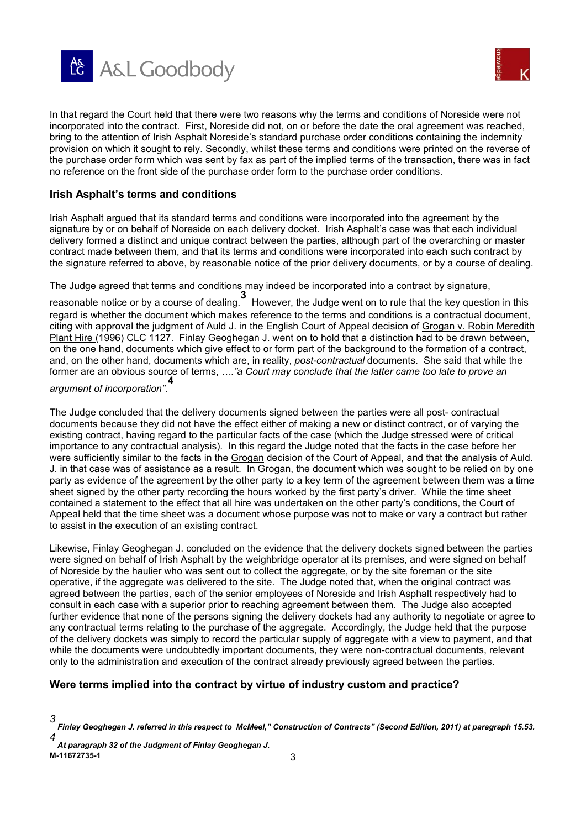



In that regard the Court held that there were two reasons why the terms and conditions of Nor eside were not incorporated into the contract. First, Noreside did not, on or before the date the oral agreement was reached, bring to the attention of Irish Asphalt Noreside's standard purchase order conditions containing the indemnity provision on which it sought to rely. Secondly, whilst these terms and conditions were printed on the reverse of the purchase order form which was sent by fax as part of the implied terms of the transaction, there was in fact no reference on the front side of the purchase order form to the purchase order conditions.

### **Irish Asphalt's terms and conditions**

Irish Asphalt argued that its standard terms and conditions were incorporated into the agreement by the signature by or on behalf of Noreside on each delivery docket. Irish Asphalt's case was that each individual delivery formed a distinct and unique contract between the parties, although part of the overarching or master contract made between them, and that its terms and conditions were incorporated into each such contract by the signature referred to above, by reasonable notice of the prior delivery documents, or by a course of dealing.

The Judge agreed that terms and conditions may indeed be incorporated into a contract by signature,

reasonable notice or by a course of dealing. **3**<br>**1** However, the Judge went on to rule that the key question in this regard is whether the document which makes reference to the terms and conditions is a contractual document, citing with approval the judgment of Auld J. in the English Court of Appeal decision of Grogan v. Robin Meredith Plant Hire (1996) CLC 1127. Finlay Geoghegan J. went on to hold that a distinction had to be drawn between, on the one hand, documents which give effect to or form part of the background to the formation of a contract, and, on the other hand, documents which are, in reality, *post-contractual* documents. She said that while the former are an obvious source of terms, *…."a Court may conclude that the latter came too late to prove an* 

# *argument of incorporation"*. **4**

The Judge concluded that the delivery documents signed between the parties were all post- contractual documents because they did not have the effect either of making a new or distinct contract, or of varying the existing contract, having regard to the particular facts of the case (which the Judge stressed were of critical importance to any contractual analysis). In this regard the Judge noted that the facts in the case before her were sufficiently similar to the facts in the Grogan decision of the Court of Appeal, and that the analysis of Auld. J. in that case was of assistance as a result. In Grogan, the document which was sought to be relied on by one party as evidence of the agreement by the other party to a key term of the agreement between them was a time sheet signed by the other party recording the hours worked by the first party's driver. While the time sheet contained a statement to the effect that all hire was undertaken on the other party's conditions, the Court of Appeal held that the time sheet was a document whose purpose was not to make or vary a contract but rather to assist in the execution of an existing contract.

Likewise, Finlay Geoghegan J. concluded on the evidence that the delivery dockets signed between the parties were signed on behalf of Irish Asphalt by the weighbridge operator at its premises, and were signed on behalf of Noreside by the haulier who was sent out to collect the aggregate, or by the site foreman or the site operative, if the aggregate was delivered to the site. The Judge noted that, when the original contract was agreed between the parties, each of the senior employees of Noreside and Irish Asphalt respectively had to consult in each case with a superior prior to reaching agreement between them. The Judge also accepted further evidence that none of the persons signing the delivery dockets had any authority to negotiate or agree to any contractual terms relating to the purchase of the aggregate. Accordingly, the Judge held that the purpose of the delivery dockets was simply to record the particular supply of aggregate with a view to payment, and that while the documents were undoubtedly important documents, they were non-contractual documents, relevant only to the administration and execution of the contract already previously agreed between the parties.

## **Were terms implied into the contract by virtue of industry custom and practice?**

l

*<sup>3</sup> Finlay Geoghegan J. referred in this respect to McMeel," Construction of Contracts" (Second Edition, 2011) at paragraph 15.53. 4*

**M-11672735-1** 3  *At paragraph 32 of the Judgment of Finlay Geoghegan J.*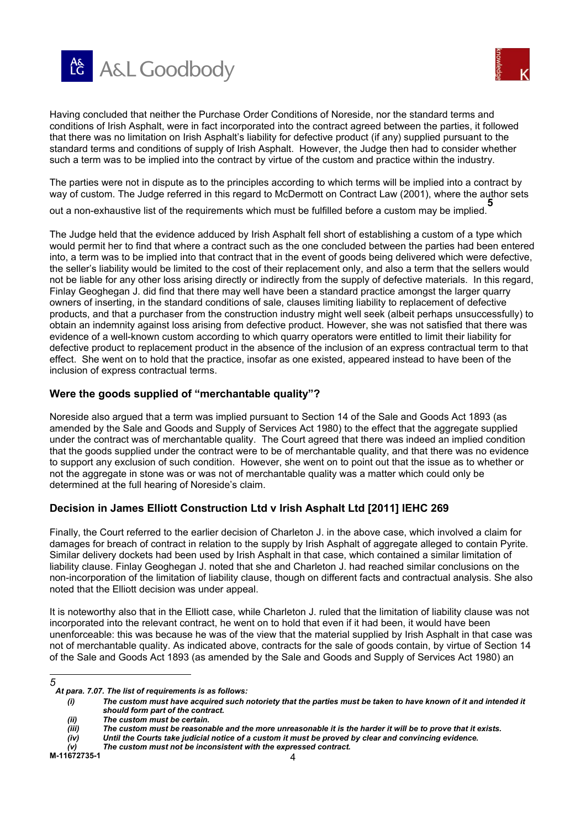



Having concluded that neither the Purchase Order Conditions of Nor eside, nor the standard terms and conditions of Irish Asphalt, were in fact incorporated into the contract agreed between the parties, it followed that there was no limitation on Irish Asphalt's liability for defective product (if any) supplied pursuant to the standard terms and conditions of supply of Irish Asphalt. However, the Judge then had to consider whether such a term was to be implied into the contract by virtue of the custom and practice within the industry.

The parties were not in dispute as to the principles according to which terms will be implied into a contract by way of custom. The Judge referred in this regard to McDermott on Contract Law (2001), where the author sets

out a non-exhaustive list of the requirements which must be fulfilled before a custom may be implied. **5**

The Judge held that the evidence adduced by Irish Asphalt fell short of establishing a custom of a type which would permit her to find that where a contract such as the one concluded between the parties had been entered into, a term was to be implied into that contract that in the event of goods being delivered which were defective, the seller's liability would be limited to the cost of their replacement only, and also a term that the sellers would not be liable for any other loss arising directly or indirectly from the supply of defective materials. In this regard, Finlay Geoghegan J. did find that there may well have been a standard practice amongst the larger quarry owners of inserting, in the standard conditions of sale, clauses limiting liability to replacement of defective products, and that a purchaser from the construction industry might well seek (albeit perhaps unsuccessfully) to obtain an indemnity against loss arising from defective product. However, she was not satisfied that there was evidence of a well-known custom according to which quarry operators were entitled to limit their liability for defective product to replacement product in the absence of the inclusion of an express contractual term to that effect. She went on to hold that the practice, insofar as one existed, appeared instead to have been of the inclusion of express contractual terms.

## **Were the goods supplied of "merchantable quality"?**

Noreside also argued that a term was implied pursuant to Section 14 of the Sale and Goods Act 1893 (as amended by the Sale and Goods and Supply of Services Act 1980) to the effect that the aggregate supplied under the contract was of merchantable quality. The Court agreed that there was indeed an implied condition that the goods supplied under the contract were to be of merchantable quality, and that there was no evidence to support any exclusion of such condition. However, she went on to point out that the issue as to whether or not the aggregate in stone was or was not of merchantable quality was a matter which could only be determined at the full hearing of Noreside's claim.

## **Decision in James Elliott Construction Ltd v Irish Asphalt Ltd [2011] IEHC 269**

Finally, the Court referred to the earlier decision of Charleton J. in the above case, which involved a claim for damages for breach of contract in relation to the supply by Irish Asphalt of aggregate alleged to contain Pyrite. Similar delivery dockets had been used by Irish Asphalt in that case, which contained a similar limitation of liability clause. Finlay Geoghegan J. noted that she and Charleton J. had reached similar conclusions on the non-incorporation of the limitation of liability clause, though on different facts and contractual analysis. She also noted that the Elliott decision was under appeal.

It is noteworthy also that in the Elliott case, while Charleton J. ruled that the limitation of liability clause was not incorporated into the relevant contract, he went on to hold that even if it had been, it would have been unenforceable: this was because he was of the view that the material supplied by Irish Asphalt in that case was not of merchantable quality. As indicated above, contracts for the sale of goods contain, by virtue of Section 14 of the Sale and Goods Act 1893 (as amended by the Sale and Goods and Supply of Services Act 1980) an

*(ii) The custom must be certain.*

l *5*

*At para. 7.07. The list of requirements is as follows:* 

*<sup>(</sup>i) The custom must have acquired such notoriety that the parties must be taken to have known of it and intended it should form part of the contract.*

*<sup>(</sup>iii) The custom must be reasonable and the more unreasonable it is the harder it will be to prove that it exists.*

*<sup>(</sup>iv) Until the Courts take judicial notice of a custom it must be proved by clear and convincing evidence.*

*<sup>(</sup>v) The custom must not be inconsistent with the expressed contract.*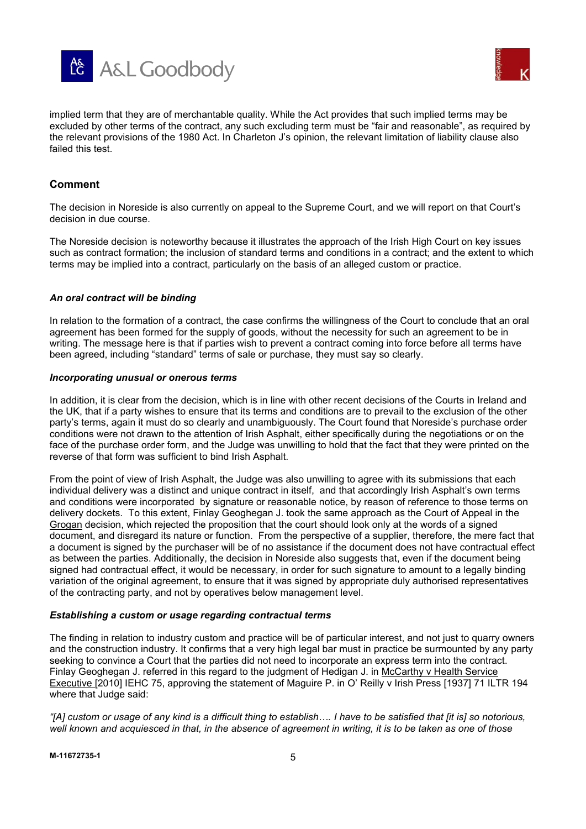



implied term that they are of merchantable quality. While the Act provides that such implied terms may be excluded by other terms of the contract, any such excluding term must be "fair and reasonable", as required by the relevant provisions of the 1980 Act. In Charleton J's opinion, the relevant limitation of liability clause also failed this test.

### **Comment**

The decision in Noreside is also currently on appeal to the Supreme Court, and we will report on that Court's decision in due course.

The Noreside decision is noteworthy because it illustrates the approach of the Irish High Court on key issues such as contract formation; the inclusion of standard terms and conditions in a contract; and the extent to which terms may be implied into a contract, particularly on the basis of an alleged custom or practice.

#### *An oral contract will be binding*

In relation to the formation of a contract, the case confirms the willingness of the Court to conclude that an oral agreement has been formed for the supply of goods, without the necessity for such an agreement to be in writing. The message here is that if parties wish to prevent a contract coming into force before all terms have been agreed, including "standard" terms of sale or purchase, they must say so clearly.

#### *Incorporating unusual or onerous terms*

In addition, it is clear from the decision, which is in line with other recent decisions of the Courts in Ireland and the UK, that if a party wishes to ensure that its terms and conditions are to prevail to the exclusion of the other party's terms, again it must do so clearly and unambiguously. The Court found that Noreside's purchase order conditions were not drawn to the attention of Irish Asphalt, either specifically during the negotiations or on the face of the purchase order form, and the Judge was unwilling to hold that the fact that they were printed on the reverse of that form was sufficient to bind Irish Asphalt.

From the point of view of Irish Asphalt, the Judge was also unwilling to agree with its submissions that each individual delivery was a distinct and unique contract in itself, and that accordingly Irish Asphalt's own terms and conditions were incorporated by signature or reasonable notice, by reason of reference to those terms on delivery dockets. To this extent, Finlay Geoghegan J. took the same approach as the Court of Appeal in the Grogan decision, which rejected the proposition that the court should look only at the words of a signed document, and disregard its nature or function. From the perspective of a supplier, therefore, the mere fact that a document is signed by the purchaser will be of no assistance if the document does not have contractual effect as between the parties. Additionally, the decision in Noreside also suggests that, even if the document being signed had contractual effect, it would be necessary, in order for such signature to amount to a legally binding variation of the original agreement, to ensure that it was signed by appropriate duly authorised representatives of the contracting party, and not by operatives below management level.

#### *Establishing a custom or usage regarding contractual terms*

The finding in relation to industry custom and practice will be of particular interest, and not just to quarry owners and the construction industry. It confirms that a very high legal bar must in practice be surmounted by any party seeking to convince a Court that the parties did not need to incorporate an express term into the contract. Finlay Geoghegan J. referred in this regard to the judgment of Hedigan J. in McCarthy v Health Service Executive [2010] IEHC 75, approving the statement of Maguire P. in O' Reilly v Irish Press [1937] 71 ILTR 194 where that Judge said:

*"[A] custom or usage of any kind is a difficult thing to establish…. I have to be satisfied that [it is] so notorious, well known and acquiesced in that, in the absence of agreement in writing, it is to be taken as one of those*